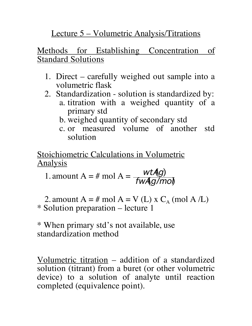## Lecture 5 – Volumetric Analysis/Titrations

#### Methods for Establishing Concentration of Standard Solutions

- 1. Direct carefully weighed out sample into a volumetric flask
- 2. Standardization solution is standardized by:
	- a. titration with a weighed quantity of a primary std
	- b. weighed quantity of secondary std
	- c. or measured volume of another std solution

Stoichiometric Calculations in Volumetric Analysis

1. amount A = # mol A = 
$$
\frac{wtAg}{fwAg/mol}
$$

2. amount  $A = #$  mol  $A = V$  (L) x  $C_A$  (mol A /L) \* Solution preparation – lecture 1

\* When primary std's not available, use standardization method

Volumetric titration – addition of a standardized solution (titrant) from a buret (or other volumetric device) to a solution of analyte until reaction completed (equivalence point).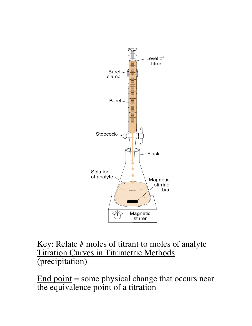

### Key: Relate # moles of titrant to moles of analyte Titration Curves in Titrimetric Methods (precipitation)

End  $point = some physical change that occurs near$ the equivalence point of a titration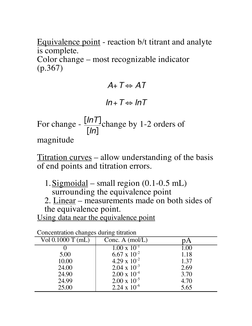Equivalence point - reaction b/t titrant and analyte is complete.

Color change – most recognizable indicator (p.367)

 $A+T \Leftrightarrow AT$ 

 $In + T \Leftrightarrow In$ 

For change -  $\frac{\lfloor n+1 \rfloor}{\lfloor n \rfloor}$  $[lnT]$ In InT change by 1-2 orders of magnitude

Titration curves – allow understanding of the basis of end points and titration errors.

 $1.\underline{\text{Sigmoidal}} - \text{small region} (0.1-0.5 \text{ mL})$ surrounding the equivalence point

2. Linear – measurements made on both sides of the equivalence point.

Using data near the equivalence point

| $\frac{1}{2}$     |                       |          |
|-------------------|-----------------------|----------|
| Vol 0.1000 T (mL) | Conc. A $(mol/L)$     | DА       |
|                   | $1.00 \times 10^{-1}$ | $1.00\,$ |
| 5.00              | $6.67 \times 10^{-2}$ | 1.18     |
| 10.00             | $4.29 \times 10^{-2}$ | 1.37     |
| 24.00             | $2.04 \times 10^{-3}$ | 2.69     |
| 24.90             | $2.00 \times 10^{-4}$ | 3.70     |
| 24.99             | $2.00 \times 10^{-5}$ | 4.70     |
| 25.00             | $2.24 \times 10^{-6}$ | 5.65     |

Concentration changes during titration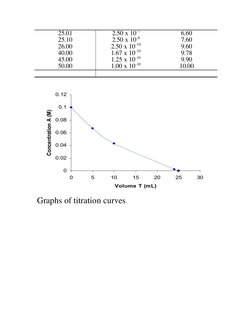| 25.01 | $2.50 \times 10^{-7}$  | 6.60  |
|-------|------------------------|-------|
| 25.10 | $2.50 \times 10^{-8}$  | 7.60  |
| 26.00 | $2.50 \times 10^{-10}$ | 9.60  |
| 40.00 | $1.67 \times 10^{-10}$ | 9.78  |
| 45.00 | $1.25 \times 10^{-10}$ | 9.90  |
| 50.00 | $1.00 \times 10^{-10}$ | 10.00 |
|       |                        |       |



Graphs of titration curves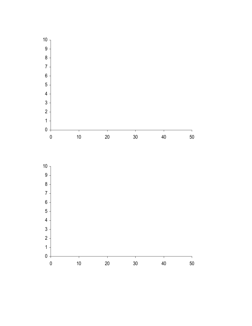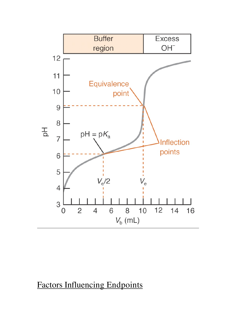

# Factors Influencing Endpoints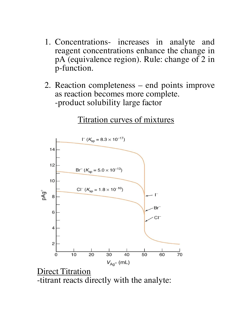- 1. Concentrations- increases in analyte and reagent concentrations enhance the change in pA (equivalence region). Rule: change of 2 in p-function.
- 2. Reaction completeness end points improve as reaction becomes more complete. -product solubility large factor



**Direct Titration** -titrant reacts directly with the analyte: